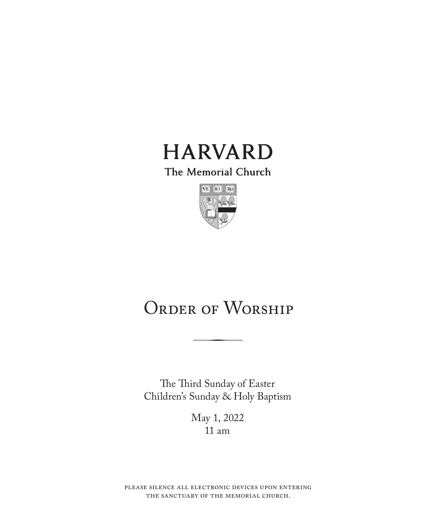

The Memorial Church



# ORDER OF WORSHIP

The Third Sunday of Easter Children's Sunday & Holy Baptism

> May 1, 2022 11 am

please silence all electronic devices upon entering the sanctuary of the memorial church.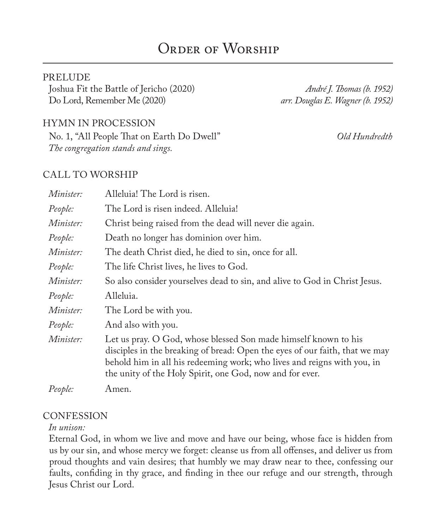## ORDER OF WORSHIP

#### PRELUDE

Joshua Fit the Battle of Jericho (2020) *André J. Thomas (b. 1952)*

arr. Douglas E. Wagner (b. 1952)

#### HYMN IN PROCESSION

No. 1, "All People That on Earth Do Dwell" *Old Hundredth The congregation stands and sings.*

#### CALL TO WORSHIP

| Minister:        | Alleluia! The Lord is risen.                                                                                                                                                                                                                                                          |
|------------------|---------------------------------------------------------------------------------------------------------------------------------------------------------------------------------------------------------------------------------------------------------------------------------------|
| People:          | The Lord is risen indeed. Alleluia!                                                                                                                                                                                                                                                   |
| Minister:        | Christ being raised from the dead will never die again.                                                                                                                                                                                                                               |
| People:          | Death no longer has dominion over him.                                                                                                                                                                                                                                                |
| <i>Minister:</i> | The death Christ died, he died to sin, once for all.                                                                                                                                                                                                                                  |
| People:          | The life Christ lives, he lives to God.                                                                                                                                                                                                                                               |
| Minister:        | So also consider yourselves dead to sin, and alive to God in Christ Jesus.                                                                                                                                                                                                            |
| People:          | Alleluia.                                                                                                                                                                                                                                                                             |
| Minister:        | The Lord be with you.                                                                                                                                                                                                                                                                 |
| People:          | And also with you.                                                                                                                                                                                                                                                                    |
| Minister:        | Let us pray. O God, whose blessed Son made himself known to his<br>disciples in the breaking of bread: Open the eyes of our faith, that we may<br>behold him in all his redeeming work; who lives and reigns with you, in<br>the unity of the Holy Spirit, one God, now and for ever. |
| People:          | Amen.                                                                                                                                                                                                                                                                                 |

#### **CONFESSION**

#### *In unison:*

Eternal God, in whom we live and move and have our being, whose face is hidden from us by our sin, and whose mercy we forget: cleanse us from all offenses, and deliver us from proud thoughts and vain desires; that humbly we may draw near to thee, confessing our faults, confiding in thy grace, and finding in thee our refuge and our strength, through Jesus Christ our Lord.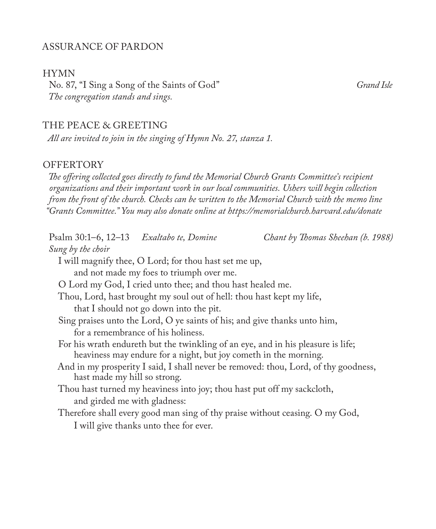#### ASSURANCE OF PARDON

#### HYMN

No. 87, "I Sing a Song of the Saints of God" *Grand Isle The congregation stands and sings.*

#### THE PEACE & GREETING

*All are invited to join in the singing of Hymn No. 27, stanza 1.*

#### **OFFERTORY**

*The offering collected goes directly to fund the Memorial Church Grants Committee's recipient organizations and their important work in our local communities. Ushers will begin collection from the front of the church. Checks can be written to the Memorial Church with the memo line "Grants Committee." You may also donate online at https://memorialchurch.harvard.edu/donate* 

| Psalm 30:1-6, 12-13 Exaltabo te, Domine |                                                                           | Chant by Thomas Sheehan (b. 1988)                                                   |
|-----------------------------------------|---------------------------------------------------------------------------|-------------------------------------------------------------------------------------|
| Sung by the choir                       |                                                                           |                                                                                     |
|                                         | I will magnify thee, O Lord; for thou hast set me up,                     |                                                                                     |
|                                         | and not made my foes to triumph over me.                                  |                                                                                     |
|                                         | O Lord my God, I cried unto thee; and thou hast healed me.                |                                                                                     |
|                                         | Thou, Lord, hast brought my soul out of hell: thou hast kept my life,     |                                                                                     |
|                                         | that I should not go down into the pit.                                   |                                                                                     |
|                                         | Sing praises unto the Lord, O ye saints of his; and give thanks unto him, |                                                                                     |
| for a remembrance of his holiness.      |                                                                           |                                                                                     |
|                                         | heaviness may endure for a night, but joy cometh in the morning.          | For his wrath endureth but the twinkling of an eye, and in his pleasure is life;    |
| hast made my hill so strong.            |                                                                           | And in my prosperity I said, I shall never be removed: thou, Lord, of thy goodness, |
|                                         | Thou hast turned my heaviness into joy; thou hast put off my sackeloth,   |                                                                                     |
| and girded me with gladness:            |                                                                           |                                                                                     |
|                                         |                                                                           | Therefore shall every good man sing of thy praise without ceasing. O my God,        |
|                                         | I will give thanks unto thee for ever.                                    |                                                                                     |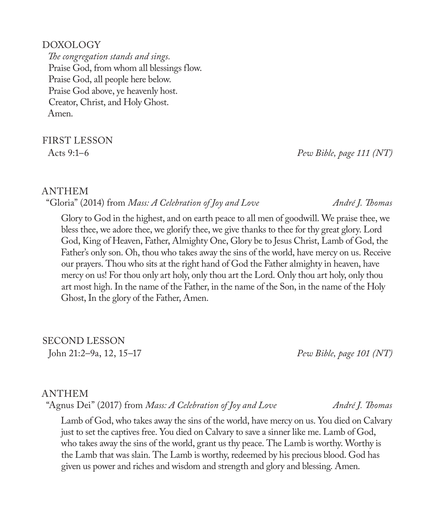#### DOXOLOGY

*The congregation stands and sings.* Praise God, from whom all blessings flow. Praise God, all people here below. Praise God above, ye heavenly host. Creator, Christ, and Holy Ghost. Amen.

## FIRST LESSON

Acts 9:1–6 *Pew Bible, page 111 (NT)*

#### ANTHEM

"Gloria" (2014) from *Mass: A Celebration of Joy and Love André J. Thomas* 

Glory to God in the highest, and on earth peace to all men of goodwill. We praise thee, we bless thee, we adore thee, we glorify thee, we give thanks to thee for thy great glory. Lord God, King of Heaven, Father, Almighty One, Glory be to Jesus Christ, Lamb of God, the Father's only son. Oh, thou who takes away the sins of the world, have mercy on us. Receive our prayers. Thou who sits at the right hand of God the Father almighty in heaven, have mercy on us! For thou only art holy, only thou art the Lord. Only thou art holy, only thou art most high. In the name of the Father, in the name of the Son, in the name of the Holy Ghost, In the glory of the Father, Amen.

SECOND LESSON

John 21:2–9a, 12, 15–17 *Pew Bible, page 101 (NT)*

#### ANTHEM

"Agnus Dei" (2017) from *Mass: A Celebration of Joy and Love André J. Thomas*

Lamb of God, who takes away the sins of the world, have mercy on us. You died on Calvary just to set the captives free. You died on Calvary to save a sinner like me. Lamb of God, who takes away the sins of the world, grant us thy peace. The Lamb is worthy. Worthy is the Lamb that was slain. The Lamb is worthy, redeemed by his precious blood. God has given us power and riches and wisdom and strength and glory and blessing. Amen.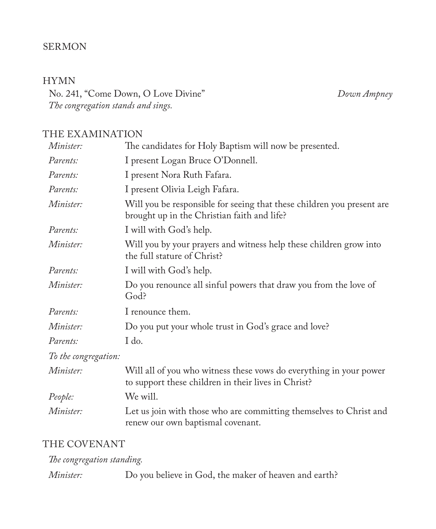#### SERMON

### HYMN

No. 241, "Come Down, O Love Divine" *Down Ampney The congregation stands and sings.*

#### THE EXAMINATION

| Minister:            | The candidates for Holy Baptism will now be presented.                                                                    |
|----------------------|---------------------------------------------------------------------------------------------------------------------------|
| Parents:             | I present Logan Bruce O'Donnell.                                                                                          |
| Parents:             | I present Nora Ruth Fafara.                                                                                               |
| Parents:             | I present Olivia Leigh Fafara.                                                                                            |
| Minister:            | Will you be responsible for seeing that these children you present are<br>brought up in the Christian faith and life?     |
| Parents:             | I will with God's help.                                                                                                   |
| Minister:            | Will you by your prayers and witness help these children grow into<br>the full stature of Christ?                         |
| Parents:             | I will with God's help.                                                                                                   |
| Minister:            | Do you renounce all sinful powers that draw you from the love of<br>God?                                                  |
| Parents:             | I renounce them.                                                                                                          |
| Minister:            | Do you put your whole trust in God's grace and love?                                                                      |
| Parents:             | I do.                                                                                                                     |
| To the congregation: |                                                                                                                           |
| Minister:            | Will all of you who witness these vows do everything in your power<br>to support these children in their lives in Christ? |
| People:              | We will.                                                                                                                  |
| Minister:            | Let us join with those who are committing themselves to Christ and<br>renew our own baptismal covenant.                   |

## THE COVENANT

| The congregation standing. |                                                       |
|----------------------------|-------------------------------------------------------|
| Minister:                  | Do you believe in God, the maker of heaven and earth? |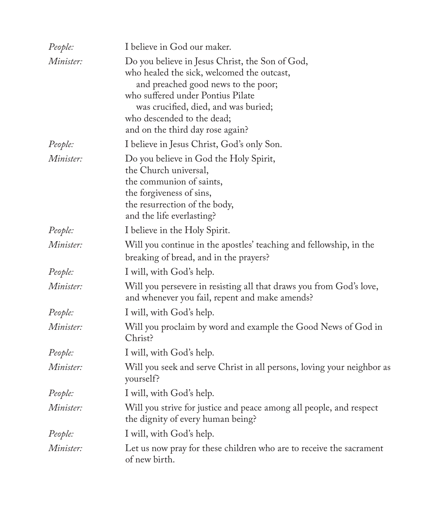| People:   | I believe in God our maker.                                                                                                                                                                                                                                                         |
|-----------|-------------------------------------------------------------------------------------------------------------------------------------------------------------------------------------------------------------------------------------------------------------------------------------|
| Minister: | Do you believe in Jesus Christ, the Son of God,<br>who healed the sick, welcomed the outcast,<br>and preached good news to the poor;<br>who suffered under Pontius Pilate<br>was crucified, died, and was buried;<br>who descended to the dead;<br>and on the third day rose again? |
| People:   | I believe in Jesus Christ, God's only Son.                                                                                                                                                                                                                                          |
| Minister: | Do you believe in God the Holy Spirit,<br>the Church universal,<br>the communion of saints,<br>the forgiveness of sins,<br>the resurrection of the body,<br>and the life everlasting?                                                                                               |
| People:   | I believe in the Holy Spirit.                                                                                                                                                                                                                                                       |
| Minister: | Will you continue in the apostles' teaching and fellowship, in the<br>breaking of bread, and in the prayers?                                                                                                                                                                        |
| People:   | I will, with God's help.                                                                                                                                                                                                                                                            |
| Minister: | Will you persevere in resisting all that draws you from God's love,<br>and whenever you fail, repent and make amends?                                                                                                                                                               |
| People:   | I will, with God's help.                                                                                                                                                                                                                                                            |
| Minister: | Will you proclaim by word and example the Good News of God in<br>Christ?                                                                                                                                                                                                            |
| People:   | I will, with God's help.                                                                                                                                                                                                                                                            |
| Minister: | Will you seek and serve Christ in all persons, loving your neighbor as<br>yourself?                                                                                                                                                                                                 |
| People:   | I will, with God's help.                                                                                                                                                                                                                                                            |
| Minister: | Will you strive for justice and peace among all people, and respect<br>the dignity of every human being?                                                                                                                                                                            |
| People:   | I will, with God's help.                                                                                                                                                                                                                                                            |
| Minister: | Let us now pray for these children who are to receive the sacrament<br>of new birth.                                                                                                                                                                                                |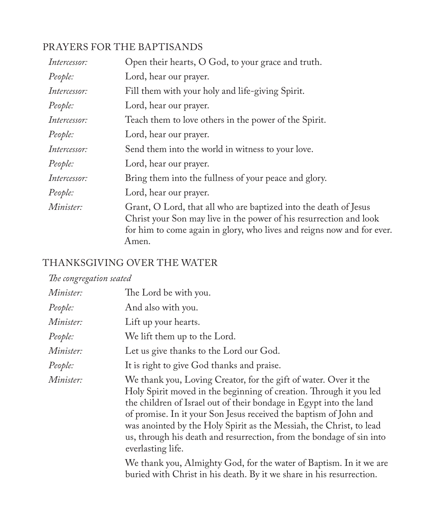## PRAYERS FOR THE BAPTISANDS

| Intercessor: | Open their hearts, O God, to your grace and truth.                                                                                                                                                                        |
|--------------|---------------------------------------------------------------------------------------------------------------------------------------------------------------------------------------------------------------------------|
| People:      | Lord, hear our prayer.                                                                                                                                                                                                    |
| Intercessor: | Fill them with your holy and life-giving Spirit.                                                                                                                                                                          |
| People:      | Lord, hear our prayer.                                                                                                                                                                                                    |
| Intercessor: | Teach them to love others in the power of the Spirit.                                                                                                                                                                     |
| People:      | Lord, hear our prayer.                                                                                                                                                                                                    |
| Intercessor: | Send them into the world in witness to your love.                                                                                                                                                                         |
| People:      | Lord, hear our prayer.                                                                                                                                                                                                    |
| Intercessor: | Bring them into the fullness of your peace and glory.                                                                                                                                                                     |
| People:      | Lord, hear our prayer.                                                                                                                                                                                                    |
| Minister:    | Grant, O Lord, that all who are baptized into the death of Jesus<br>Christ your Son may live in the power of his resurrection and look<br>for him to come again in glory, who lives and reigns now and for ever.<br>Amen. |

#### THANKSGIVING OVER THE WATER

#### *The congregation seated*

| Minister:        | The Lord be with you.                                                                                                                                                                                                                                                                                                                                                                                                                                                                                                                                                                               |
|------------------|-----------------------------------------------------------------------------------------------------------------------------------------------------------------------------------------------------------------------------------------------------------------------------------------------------------------------------------------------------------------------------------------------------------------------------------------------------------------------------------------------------------------------------------------------------------------------------------------------------|
| People:          | And also with you.                                                                                                                                                                                                                                                                                                                                                                                                                                                                                                                                                                                  |
| Minister:        | Lift up your hearts.                                                                                                                                                                                                                                                                                                                                                                                                                                                                                                                                                                                |
| People:          | We lift them up to the Lord.                                                                                                                                                                                                                                                                                                                                                                                                                                                                                                                                                                        |
| <i>Minister:</i> | Let us give thanks to the Lord our God.                                                                                                                                                                                                                                                                                                                                                                                                                                                                                                                                                             |
| People:          | It is right to give God thanks and praise.                                                                                                                                                                                                                                                                                                                                                                                                                                                                                                                                                          |
| Minister:        | We thank you, Loving Creator, for the gift of water. Over it the<br>Holy Spirit moved in the beginning of creation. Through it you led<br>the children of Israel out of their bondage in Egypt into the land<br>of promise. In it your Son Jesus received the baptism of John and<br>was anointed by the Holy Spirit as the Messiah, the Christ, to lead<br>us, through his death and resurrection, from the bondage of sin into<br>everlasting life.<br>We thank you, Almighty God, for the water of Baptism. In it we are<br>buried with Christ in his death. By it we share in his resurrection. |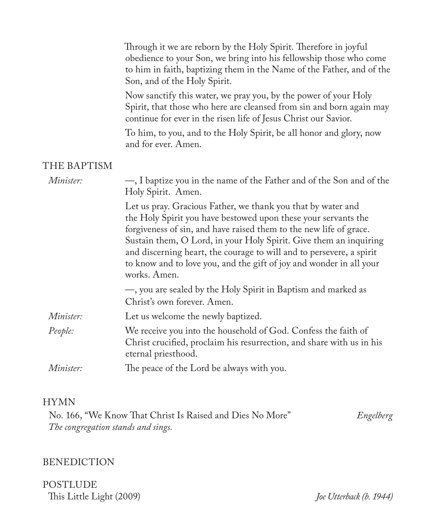|             | Through it we are reborn by the Holy Spirit. Therefore in joyful<br>obedience to your Son, we bring into his fellowship those who come<br>to him in faith, baptizing them in the Name of the Father, and of the<br>Son, and of the Holy Spirit.                                                                                                                                                                                          |
|-------------|------------------------------------------------------------------------------------------------------------------------------------------------------------------------------------------------------------------------------------------------------------------------------------------------------------------------------------------------------------------------------------------------------------------------------------------|
|             | Now sanctify this water, we pray you, by the power of your Holy<br>Spirit, that those who here are cleansed from sin and born again may<br>continue for ever in the risen life of Jesus Christ our Savior.                                                                                                                                                                                                                               |
|             | To him, to you, and to the Holy Spirit, be all honor and glory, now<br>and for ever. Amen.                                                                                                                                                                                                                                                                                                                                               |
| THE BAPTISM |                                                                                                                                                                                                                                                                                                                                                                                                                                          |
| Minister:   | -, I baptize you in the name of the Father and of the Son and of the<br>Holy Spirit. Amen.                                                                                                                                                                                                                                                                                                                                               |
|             | Let us pray. Gracious Father, we thank you that by water and<br>the Holy Spirit you have bestowed upon these your servants the<br>forgiveness of sin, and have raised them to the new life of grace.<br>Sustain them, O Lord, in your Holy Spirit. Give them an inquiring<br>and discerning heart, the courage to will and to persevere, a spirit<br>to know and to love you, and the gift of joy and wonder in all your<br>works. Amen. |
|             | -, you are sealed by the Holy Spirit in Baptism and marked as<br>Christ's own forever. Amen.                                                                                                                                                                                                                                                                                                                                             |
| Minister:   | Let us welcome the newly baptized.                                                                                                                                                                                                                                                                                                                                                                                                       |
| People:     | We receive you into the household of God. Confess the faith of<br>Christ crucified, proclaim his resurrection, and share with us in his<br>eternal priesthood.                                                                                                                                                                                                                                                                           |
| Minister:   | The peace of the Lord be always with you.                                                                                                                                                                                                                                                                                                                                                                                                |

## HYMN

| No. 166, "We Know That Christ Is Raised and Dies No More" | Engelberg |
|-----------------------------------------------------------|-----------|
| The congregation stands and sings.                        |           |

## BENEDICTION

POSTLUDE This Little Light (2009) *Joe Utterback (b. 1944)*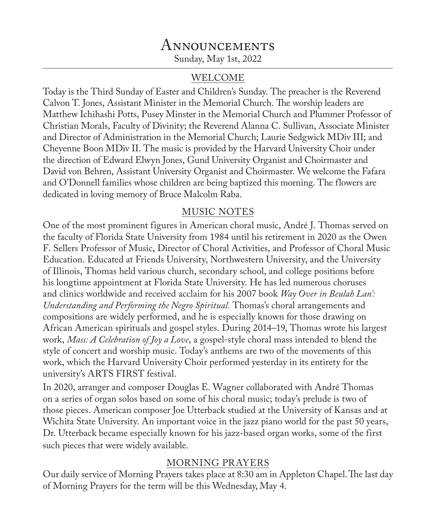## Announcements Sunday, May 1st, 2022

#### WELCOME

Today is the Third Sunday of Easter and Children's Sunday. The preacher is the Reverend Calvon T. Jones, Assistant Minister in the Memorial Church. The worship leaders are Matthew Ichihashi Potts, Pusey Minster in the Memorial Church and Plummer Professor of Christian Morals, Faculty of Divinity; the Reverend Alanna C. Sullivan, Associate Minister and Director of Administration in the Memorial Church; Laurie Sedgwick MDiv III; and Cheyenne Boon MDiv II. The music is provided by the Harvard University Choir under the direction of Edward Elwyn Jones, Gund University Organist and Choirmaster and David von Behren, Assistant University Organist and Choirmaster. We welcome the Fafara and O'Donnell families whose children are being baptized this morning. The flowers are dedicated in loving memory of Bruce Malcolm Raba.

#### MUSIC NOTES

One of the most prominent figures in American choral music, André J. Thomas served on the faculty of Florida State University from 1984 until his retirement in 2020 as the Owen F. Sellers Professor of Music, Director of Choral Activities, and Professor of Choral Music Education. Educated at Friends University, Northwestern University, and the University of Illinois, Thomas held various church, secondary school, and college positions before his longtime appointment at Florida State University. He has led numerous choruses and clinics worldwide and received acclaim for his 2007 book *Way Over in Beulah Lan': Understanding and Performing the Negro Spiritual.* Thomas's choral arrangements and compositions are widely performed, and he is especially known for those drawing on African American spirituals and gospel styles. During 2014–19, Thomas wrote his largest work, *Mass: A Celebration of Joy a Love*, a gospel-style choral mass intended to blend the style of concert and worship music. Today's anthems are two of the movements of this work, which the Harvard University Choir performed yesterday in its entirety for the university's ARTS FIRST festival.

In 2020, arranger and composer Douglas E. Wagner collaborated with André Thomas on a series of organ solos based on some of his choral music; today's prelude is two of those pieces. American composer Joe Utterback studied at the University of Kansas and at Wichita State University. An important voice in the jazz piano world for the past 50 years, Dr. Utterback became especially known for his jazz-based organ works, some of the first such pieces that were widely available.

#### MORNING PRAYERS

Our daily service of Morning Prayers takes place at 8:30 am in Appleton Chapel. The last day of Morning Prayers for the term will be this Wednesday, May 4.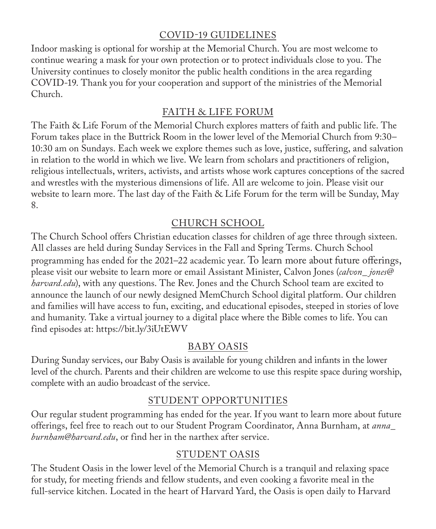## COVID-19 GUIDELINES

Indoor masking is optional for worship at the Memorial Church. You are most welcome to continue wearing a mask for your own protection or to protect individuals close to you. The University continues to closely monitor the public health conditions in the area regarding COVID-19. Thank you for your cooperation and support of the ministries of the Memorial Church.

#### FAITH & LIFE FORUM

The Faith & Life Forum of the Memorial Church explores matters of faith and public life. The Forum takes place in the Buttrick Room in the lower level of the Memorial Church from 9:30– 10:30 am on Sundays. Each week we explore themes such as love, justice, suffering, and salvation in relation to the world in which we live. We learn from scholars and practitioners of religion, religious intellectuals, writers, activists, and artists whose work captures conceptions of the sacred and wrestles with the mysterious dimensions of life. All are welcome to join. Please visit our website to learn more. The last day of the Faith & Life Forum for the term will be Sunday, May 8.

#### CHURCH SCHOOL

The Church School offers Christian education classes for children of age three through sixteen. All classes are held during Sunday Services in the Fall and Spring Terms. Church School programming has ended for the 2021–22 academic year. To learn more about future offerings, please visit our website to learn more or email Assistant Minister, Calvon Jones (*calvon\_ jones@ harvard.edu*), with any questions. The Rev. Jones and the Church School team are excited to announce the launch of our newly designed MemChurch School digital platform. Our children and families will have access to fun, exciting, and educational episodes, steeped in stories of love and humanity. Take a virtual journey to a digital place where the Bible comes to life. You can find episodes at: https://bit.ly/3iUtEWV

#### BABY OASIS

During Sunday services, our Baby Oasis is available for young children and infants in the lower level of the church. Parents and their children are welcome to use this respite space during worship, complete with an audio broadcast of the service.

#### STUDENT OPPORTUNITIES

Our regular student programming has ended for the year. If you want to learn more about future offerings, feel free to reach out to our Student Program Coordinator, Anna Burnham, at *anna\_ burnham@harvard.edu*, or find her in the narthex after service.

#### STUDENT OASIS

The Student Oasis in the lower level of the Memorial Church is a tranquil and relaxing space for study, for meeting friends and fellow students, and even cooking a favorite meal in the full-service kitchen. Located in the heart of Harvard Yard, the Oasis is open daily to Harvard